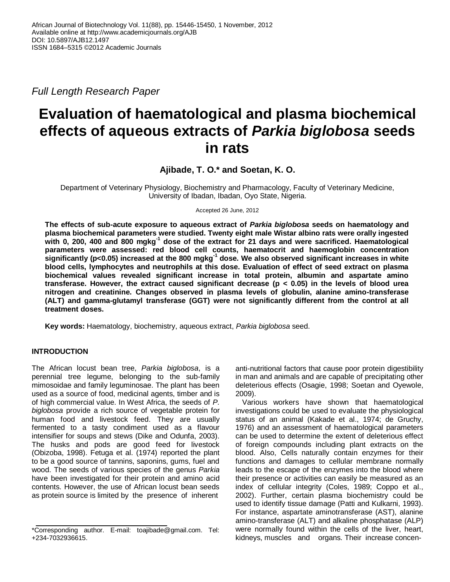*Full Length Research Paper*

# **Evaluation of haematological and plasma biochemical effects of aqueous extracts of** *Parkia biglobosa* **seeds in rats**

**Ajibade, T. O.\* and Soetan, K. O.**

Department of Veterinary Physiology, Biochemistry and Pharmacology, Faculty of Veterinary Medicine, University of Ibadan, Ibadan, Oyo State, Nigeria.

Accepted 26 June, 2012

**The effects of sub-acute exposure to aqueous extract of** *Parkia biglobosa* **seeds on haematology and plasma biochemical parameters were studied. Twenty eight male Wistar albino rats were orally ingested with 0, 200, 400 and 800 mgkg-1 dose of the extract for 21 days and were sacrificed. Haematological parameters were assessed: red blood cell counts, haematocrit and haemoglobin concentration significantly (p<0.05) increased at the 800 mgkg-1 dose. We also observed significant increases in white blood cells, lymphocytes and neutrophils at this dose. Evaluation of effect of seed extract on plasma biochemical values revealed significant increase in total protein, albumin and aspartate amino transferase. However, the extract caused significant decrease (p < 0.05) in the levels of blood urea nitrogen and creatinine. Changes observed in plasma levels of globulin, alanine amino-transferase (ALT) and gamma-glutamyl transferase (GGT) were not significantly different from the control at all treatment doses.**

**Key words:** Haematology, biochemistry, aqueous extract, *Parkia biglobosa* seed.

# **INTRODUCTION**

The African locust bean tree, *Parkia biglobosa*, is a perennial tree legume, belonging to the sub-family mimosoidae and family leguminosae. The plant has been used as a source of food, medicinal agents, timber and is of high commercial value. In West Africa, the seeds of *P. biglobosa* provide a rich source of vegetable protein for human food and livestock feed. They are usually fermented to a tasty condiment used as a flavour intensifier for soups and stews (Dike and Odunfa, 2003). The husks and pods are good feed for livestock (Obizoba, 1998). Fetuga et al. (1974) reported the plant to be a good source of tannins, saponins, gums, fuel and wood. The seeds of various species of the genus *Parkia* have been investigated for their protein and amino acid contents. However, the use of African locust bean seeds as protein source is limited by the presence of inherent

anti-nutritional factors that cause poor protein digestibility in man and animals and are capable of precipitating other deleterious effects (Osagie, 1998; Soetan and Oyewole, 2009).

Various workers have shown that haematological investigations could be used to evaluate the physiological status of an animal (Kakade et al., 1974; de Gruchy, 1976) and an assessment of haematological parameters can be used to determine the extent of deleterious effect of foreign compounds including plant extracts on the blood. Also, Cells naturally contain enzymes for their functions and damages to cellular membrane normally leads to the escape of the enzymes into the blood where their presence or activities can easily be measured as an index of cellular integrity (Coles, 1989; Coppo et al., 2002). Further, certain plasma biochemistry could be used to identify tissue damage (Patti and Kulkarni, 1993). For instance, aspartate aminotransferase (AST), alanine amino-transferase (ALT) and alkaline phosphatase (ALP) were normally found within the cells of the liver, heart, kidneys, muscles and organs. Their increase concen-

<sup>\*</sup>Corresponding author. E-mail: toajibade@gmail.com. Tel: +234-7032936615.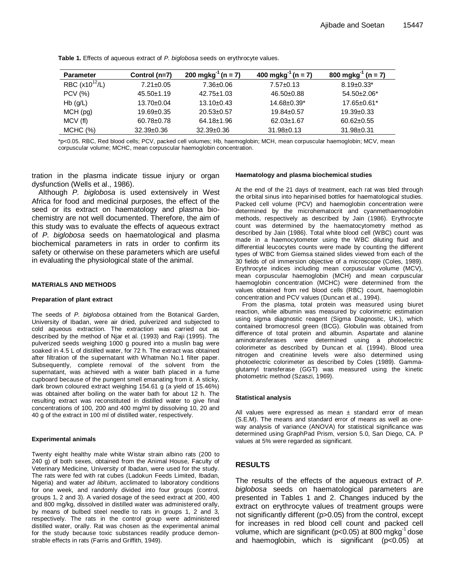| <b>Parameter</b>   | Control (n=7)    | 200 mgkg <sup>-1</sup> (n = 7) | 400 mgkg <sup>-1</sup> (n = 7) | 800 mgkg <sup>-1</sup> (n = 7) |
|--------------------|------------------|--------------------------------|--------------------------------|--------------------------------|
| RBC $(x10^{12}/L)$ | $7.21 \pm 0.05$  | $7.36 \pm 0.06$                | $7.57 \pm 0.13$                | $8.19 \pm 0.33$ *              |
| <b>PCV</b> (%)     | $45.50 \pm 1.19$ | $42.75 \pm 1.03$               | 46.50±0.88                     | $54.50 \pm 2.06^*$             |
| $Hb$ (g/L)         | 13.70±0.04       | $13.10 \pm 0.43$               | $14.68 \pm 0.39^*$             | $17.65 \pm 0.61$ *             |
| MCH(pg)            | $19.69 \pm 0.35$ | $20.53 \pm 0.57$               | $19.84 \pm 0.57$               | $19.39 \pm 0.33$               |
| MCV (fl)           | $60.78 \pm 0.78$ | 64.18±1.96                     | $62.03 \pm 1.67$               | $60.62 \pm 0.55$               |
| MCHC (%)           | $32.39 \pm 0.36$ | $32.39 \pm 0.36$               | $31.98 \pm 0.13$               | 31.98±0.31                     |

**Table 1.** Effects of aqueous extract of *P. biglobosa* seeds on erythrocyte values.

\*p<0.05. RBC, Red blood cells; PCV, packed cell volumes; Hb, haemoglobin; MCH, mean corpuscular haemoglobin; MCV, mean corpuscular volume; MCHC, mean corpuscular haemoglobin concentration.

tration in the plasma indicate tissue injury or organ dysfunction (Wells et al., 1986).

Although *P. biglobosa* is used extensively in West Africa for food and medicinal purposes, the effect of the seed or its extract on haematology and plasma biochemistry are not well documented. Therefore, the aim of this study was to evaluate the effects of aqueous extract of *P. biglobosa* seeds on haematological and plasma biochemical parameters in rats in order to confirm its safety or otherwise on these parameters which are useful in evaluating the physiological state of the animal.

#### **MATERIALS AND METHODS**

#### **Preparation of plant extract**

The seeds of *P. biglobosa* obtained from the Botanical Garden, University of Ibadan, were air dried, pulverized and subjected to cold aqueous extraction. The extraction was carried out as described by the method of Njar et al. (1993) and Raji (1995). The pulverized seeds weighing 1000 g poured into a muslin bag were soaked in 4.5 L of distilled water, for 72 h. The extract was obtained after filtration of the supernatant with Whatman No.1 filter paper. Subsequently, complete removal of the solvent from the supernatant, was achieved with a water bath placed in a fume cupboard because of the pungent smell emanating from it. A sticky, dark brown coloured extract weighing 154.61 g (a yield of 15.46%) was obtained after boiling on the water bath for about 12 h. The resulting extract was reconstituted in distilled water to give final concentrations of 100, 200 and 400 mg/ml by dissolving 10, 20 and 40 g of the extract in 100 ml of distilled water, respectively.

#### **Experimental animals**

Twenty eight healthy male white Wistar strain albino rats (200 to 240 g) of both sexes, obtained from the Animal House, Faculty of Veterinary Medicine, University of Ibadan, were used for the study. The rats were fed with rat cubes (Ladokun Feeds Limited, Ibadan, Nigeria) and water *ad libitum*, acclimated to laboratory conditions for one week, and randomly divided into four groups (control, groups 1, 2 and 3). A varied dosage of the seed extract at 200, 400 and 800 mg/kg, dissolved in distilled water was administered orally, by means of bulbed steel needle to rats in groups 1, 2 and 3, respectively. The rats in the control group were administered distilled water, orally. Rat was chosen as the experimental animal for the study because toxic substances readily produce demonstrable effects in rats (Farris and Griffith, 1949).

#### **Haematology and plasma biochemical studies**

At the end of the 21 days of treatment, each rat was bled through the orbital sinus into heparinised bottles for haematological studies. Packed cell volume (PCV) and haemoglobin concentration were determined by the microhematocrit and cyanmethaemoglobin methods, respectively as described by Jain (1986). Erythrocyte count was determined by the haematocytometry method as described by Jain (1986). Total white blood cell (WBC) count was made in a haemocytometer using the WBC diluting fluid and differential leucocytes counts were made by counting the different types of WBC from Giemsa stained slides viewed from each of the 30 fields of oil immersion objective of a microscope (Coles, 1989). Erythrocyte indices including mean corpuscular volume (MCV), mean corpuscular haemoglobin (MCH) and mean corpuscular haemoglobin concentration (MCHC) were determined from the values obtained from red blood cells (RBC) count, haemoglobin concentration and PCV values (Duncan et al., 1994).

From the plasma, total protein was measured using biuret reaction, while albumin was measured by colorimetric estimation using sigma diagnostic reagent (Sigma Diagnostic, UK.), which contained bromocresol green (BCG). Globulin was obtained from difference of total protein and albumin. Aspartate and alanine aminotransferases were determined using a photoelectric colorimeter as described by Duncan et al. (1994). Blood urea nitrogen and creatinine levels were also determined using photoelectric colorimeter as described by Coles (1989). Gammaglutamyl transferase (GGT) was measured using the kinetic photometric method (Szaszi, 1969).

#### **Statistical analysis**

All values were expressed as mean  $\pm$  standard error of mean (S.E.M). The means and standard error of means as well as oneway analysis of variance (ANOVA) for statistical significance was determined using GraphPad Prism, version 5.0, San Diego, CA. P values at 5% were regarded as significant.

### **RESULTS**

The results of the effects of the aqueous extract of *P. biglobosa* seeds on haematological parameters are presented in Tables 1 and 2. Changes induced by the extract on erythrocyte values of treatment groups were not significantly different (p>0.05) from the control, except for increases in red blood cell count and packed cell volume, which are significant (p<0.05) at 800 mgkg<sup>-1</sup> dose and haemoglobin, which is significant (p<0.05) at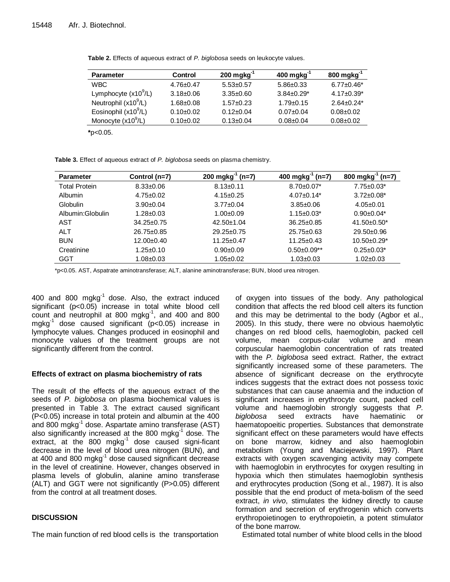| <b>Parameter</b>       | <b>Control</b>  | $200$ mgkg <sup>-1</sup> | $400$ mgkg <sup>-1</sup> | $800$ mgkg $^{-1}$ |
|------------------------|-----------------|--------------------------|--------------------------|--------------------|
| <b>WBC</b>             | $4.76 \pm 0.47$ | $5.53 \pm 0.57$          | $5.86 \pm 0.33$          | $6.77 \pm 0.46^*$  |
| Lymphocyte $(x10^9/L)$ | $3.18 \pm 0.06$ | $3.35 \pm 0.60$          | $3.84 \pm 0.29^*$        | $4.17 \pm 0.39^*$  |
| Neutrophil $(x10^9/L)$ | $1.68 + 0.08$   | $1.57 + 0.23$            | $1.79 \pm 0.15$          | $2.64 + 0.24*$     |
| Eosinophil $(x10^9/L)$ | $0.10+0.02$     | $0.12 \pm 0.04$          | $0.07 + 0.04$            | $0.08 \pm 0.02$    |
| Monocyte $(x10^9/L)$   | $0.10+0.02$     | $0.13 \pm 0.04$          | $0.08 \pm 0.04$          | $0.08 + 0.02$      |
|                        |                 |                          |                          |                    |

**Table 2.** Effects of aqueous extract of *P. biglobosa* seeds on leukocyte values.

**\***p<0.05.

**Table 3.** Effect of aqueous extract of *P. biglobosa* seeds on plasma chemistry.

| Parameter         | Control (n=7)    | $200$ mgkg $^{-1}$<br>$(n=7)$ | $400$ mgkg <sup>-1</sup><br>ˈ (n=7) | 800 mgkg <sup>-1</sup><br>$(n=7)$ |
|-------------------|------------------|-------------------------------|-------------------------------------|-----------------------------------|
| Total Protein     | $8.33 \pm 0.06$  | $8.13 \pm 0.11$               | $8.70 \pm 0.07$ *                   | $7.75 \pm 0.03*$                  |
| <b>Albumin</b>    | $4.75 \pm 0.02$  | $4.15 \pm 0.25$               | $4.07 \pm 0.14^*$                   | $3.72 \pm 0.08^*$                 |
| <b>Globulin</b>   | $3.90+0.04$      | $3.77 \pm 0.04$               | $3.85 \pm 0.06$                     | $4.05 \pm 0.01$                   |
| Albumin: Globulin | $1.28 \pm 0.03$  | $1.00 + 0.09$                 | $1.15 \pm 0.03^*$                   | $0.90 \pm 0.04*$                  |
| AST               | $34.25 \pm 0.75$ | $42.50 \pm 1.04$              | $36.25 \pm 0.85$                    | $41.50 \pm 0.50^*$                |
| <b>ALT</b>        | $26.75 \pm 0.85$ | $29.25 \pm 0.75$              | $25.75 \pm 0.63$                    | $29.50 \pm 0.96$                  |
| <b>BUN</b>        | 12.00±0.40       | $11.25 \pm 0.47$              | $11.25 \pm 0.43$                    | $10.50 \pm 0.29^*$                |
| Creatinine        | $1.25 \pm 0.10$  | $0.90 + 0.09$                 | $0.50 \pm 0.09$ **                  | $0.25 \pm 0.03^*$                 |
| GGT               | $1.08 + 0.03$    | $1.05 \pm 0.02$               | $1.03 + 0.03$                       | $1.02 + 0.03$                     |

\*p<0.05. AST, Aspatrate aminotransferase; ALT, alanine aminotransferase; BUN, blood urea nitrogen.

400 and 800 mgkg $^{-1}$  dose. Also, the extract induced significant (p<0.05) increase in total white blood cell count and neutrophil at 800 mgkg<sup>-1</sup>, and 400 and 800 mgkg-1 dose caused significant (p<0.05) increase in lymphocyte values. Changes produced in eosinophil and monocyte values of the treatment groups are not significantly different from the control.

## **Effects of extract on plasma biochemistry of rats**

The result of the effects of the aqueous extract of the seeds of *P. biglobosa* on plasma biochemical values is presented in Table 3. The extract caused significant (P<0.05) increase in total protein and albumin at the 400 and 800 mgkg<sup>-1</sup> dose. Aspartate amino transferase (AST) also significantly increased at the 800 mgkg<sup>-1</sup> dose. The extract, at the 800 mgkg<sup>-1</sup> dose caused signi-ficant decrease in the level of blood urea nitrogen (BUN), and at 400 and 800 mgkg<sup>-1</sup> dose caused significant decrease in the level of creatinine. However, changes observed in plasma levels of globulin, alanine amino transferase (ALT) and GGT were not significantly (P>0.05) different from the control at all treatment doses.

# **DISCUSSION**

The main function of red blood cells is the transportation

of oxygen into tissues of the body. Any pathological condition that affects the red blood cell alters its function and this may be detrimental to the body (Agbor et al., 2005). In this study, there were no obvious haemolytic changes on red blood cells, haemoglobin, packed cell volume, mean corpus-cular volume and mean corpuscular haemoglobin concentration of rats treated with the *P. biglobosa* seed extract. Rather, the extract significantly increased some of these parameters. The absence of significant decrease on the erythrocyte indices suggests that the extract does not possess toxic substances that can cause anaemia and the induction of significant increases in erythrocyte count, packed cell volume and haemoglobin strongly suggests that *P. biglobosa* seed extracts have haematinic or haematopoeitic properties. Substances that demonstrate significant effect on these parameters would have effects on bone marrow, kidney and also haemoglobin metabolism (Young and Maciejewski, 1997). Plant extracts with oxygen scavenging activity may compete with haemoglobin in erythrocytes for oxygen resulting in hypoxia which then stimulates haemoglobin synthesis and erythrocytes production (Song et al., 1987). It is also possible that the end product of meta-bolism of the seed extract, *in vivo*, stimulates the kidney directly to cause formation and secretion of erythrogenin which converts erythropoietinogen to erythropoietin, a potent stimulator of the bone marrow.

Estimated total number of white blood cells in the blood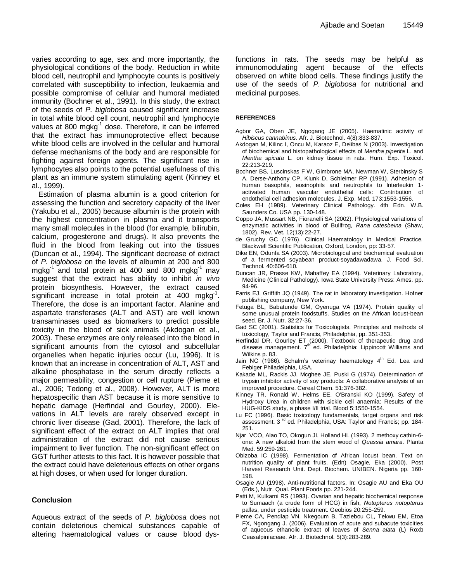varies according to age, sex and more importantly, the physiological conditions of the body. Reduction in white blood cell, neutrophil and lymphocyte counts is positively correlated with susceptibility to infection, leukaemia and possible compromise of cellular and humoral mediated immunity (Bochner et al., 1991). In this study, the extract of the seeds of *P. biglobosa* caused significant increase in total white blood cell count, neutrophil and lymphocyte values at 800 mgkg<sup>-1</sup> dose. Therefore, it can be inferred that the extract has immunoprotective effect because white blood cells are involved in the cellular and humoral defense mechanisms of the body and are responsible for fighting against foreign agents. The significant rise in lymphocytes also points to the potential usefulness of this plant as an immune system stimulating agent (Kinney et al., 1999).

Estimation of plasma albumin is a good criterion for assessing the function and secretory capacity of the liver (Yakubu et al., 2005) because albumin is the protein with the highest concentration in plasma and it transports many small molecules in the blood (for example, bilirubin, calcium, progesterone and drugs). It also prevents the fluid in the blood from leaking out into the tissues (Duncan et al., 1994). The significant decrease of extract of *P. biglobosa* on the levels of albumin at 200 and 800 mgkg $^{-1}$  and total protein at 400 and 800 mgkg $^{-1}$  may suggest that the extract has ability to inhibit *in vivo* protein biosynthesis. However, the extract caused .<br>significant increase in total protein at 400 mgkg<sup>-1</sup>. Therefore, the dose is an important factor. Alanine and aspartate transferases (ALT and AST) are well known transaminases used as biomarkers to predict possible toxicity in the blood of sick animals (Akdogan et al., 2003). These enzymes are only released into the blood in significant amounts from the cytosol and subcellular organelles when hepatic injuries occur (Lu, 1996). It is known that an increase in concentration of ALT, AST and alkaline phosphatase in the serum directly reflects a major permeability, congestion or cell rupture (Pieme et al., 2006; Tedong et al., 2008). However, ALT is more hepatospecific than AST because it is more sensitive to hepatic damage (Herfindal and Gourley, 2000). Elevations in ALT levels are rarely observed except in chronic liver disease (Gad, 2001). Therefore, the lack of significant effect of the extract on ALT implies that oral administration of the extract did not cause serious impairment to liver function. The non-significant effect on GGT further attests to this fact. It is however possible that the extract could have deleterious effects on other organs at high doses, or when used for longer duration.

#### **Conclusion**

Aqueous extract of the seeds of *P. biglobosa* does not contain deleterious chemical substances capable of altering haematological values or cause blood dysfunctions in rats. The seeds may be helpful as immunomodulating agent because of the effects observed on white blood cells. These findings justify the use of the seeds of *P. biglobosa* for nutritional and medicinal purposes.

#### **REFERENCES**

- Agbor GA, Oben JE, Ngogang JE (2005). Haematinic activity of *Hibiscus cannabinus*. Afr. J. Biotechnol. 4(8):833-837.
- Akdogan M, Kilinc I, Oncu M, Karaoz E, Delibas N (2003). Investigation of biochemical and histopathological effects of *Mentha piperita* L. and *Mentha spicata* L. on kidney tissue in rats. Hum. Exp. Toxicol. 22:213-219.
- Bochner BS, Luscinskas F W, Gimbrone MA, Newman W, Sterbinsky S A, Derse-Anthony CP, Klunk D, Schleimer RP (1991). Adhesion of human basophils, eosinophils and neutrophils to Interleukin 1 activated human vascular endothelial cells: Contribution of endothelial cell adhesion molecules. J. Exp. Med. 173:1553-1556.
- Coles EH (1989). Veterinary Clinical Pathology. 4th Edn. W.B. Saunders Co. USA pp. 130-148.
- Coppo JA, Mussart NB, Fioranelli SA (2002). Physiological variations of enzymatic activities in blood of Bullfrog, *Rana catesbeina* (Shaw, 1802). Rev. Vet. 12(13):22-27.
- de Gruchy GC (1976). Clinical Haematology in Medical Practice. Blackwell Scientific Publication, Oxford, London, pp: 33-57.
- Dike EN, Odunfa SA (2003). Microbiological and biochemical evaluation of a fermented soyabean product-soyadawadawa. J. Food Sci. Technol. 40:606-610.
- Duncan JR, Prasse KW, Mahaffey EA (1994). Veterinary Laboratory, Medicine (Clinical Pathology). Iowa State University Press: Ames. pp. 94-96.
- Farris EJ, Griffith JQ (1949). The rat in laboratory investigation. Hofner publishing company, New York.
- Fetuga BL, Babatunde GM, Oyenuga VA (1974). Protein quality of some unusual protein foodstuffs. Studies on the African locust-bean seed. Br. J. Nutr. 32:27-36.
- Gad SC (2001). Statistics for Toxicologists. Principles and methods of toxicology, Taylor and Francis, Philadelphia, pp. 351-353.
- Herfindal DR, Gourley ET (2000). Textbook of therapeutic drug and disease management. 7<sup>th</sup> ed. Philadelphia: Lippincott Williams and Wilkins p. 83.
- Jain NC (1986). Schalm's veterinay haematology 4<sup>th</sup> Ed. Lea and Febiger Philadelphia, USA.
- Kakade ML, Rackis JJ, Mcghee JE, Puski G (1974). Determination of trypsin inhibitor activity of soy products: A collaborative analysis of an improved procedure. Cereal Chem. 51:376-382.
- Kinney TR, Ronald W, Helms EE, O'Branski KO (1999). Safety of Hydroxy Urea in children with sickle cell anaemia: Results of the HUG-KIDS study, a phase I/II trial. Blood 5:1550-1554.
- Lu FC (1996). Basic toxicology fundamentals, target organs and risk assessment. 3<sup>rd</sup> ed. Philadelphia, USA: Taylor and Francis; pp. 184-251.
- Njar VCO, Alao TO, Okogun JI, Holland HL (1993). 2 methoxy cathin-6 one: A new alkaloid from the stem wood of *Quassia amara*. Planta Med. 59:259-261.
- Obizoba IC (1998). Fermentation of African locust bean. Text on nutrition quality of plant fruits. (Edn) Osagie, Eka (2000). Post Harvest Research Unit. Dept. Biochem. UNIBEN. Nigeria pp. 160- 198.
- Osagie AU (1998). Anti-nutritional factors. In: Osagie AU and Eka OU (Eds.), Nutr. Qual. Plant Foods pp. 221-244.
- Patti M, Kulkarni RS (1993). Ovarian and hepatic biochemical response to Sumaach (a crude form of HCG) in fish, *Notopterus notopterus*  pallas, under pesticide treatment. Geobios 20:255-259.
- Pieme CA, Pendlap VN, Nkegoum B, Taziebou CL, Tekwu EM, Etoa FX, Ngongang J. (2006). Evaluation of acute and subacute toxicities of aqueous ethanolic extract of leaves of *Senna alata* (L) Roxb Ceasalpiniaceae. Afr. J. Biotechnol. 5(3):283-289.